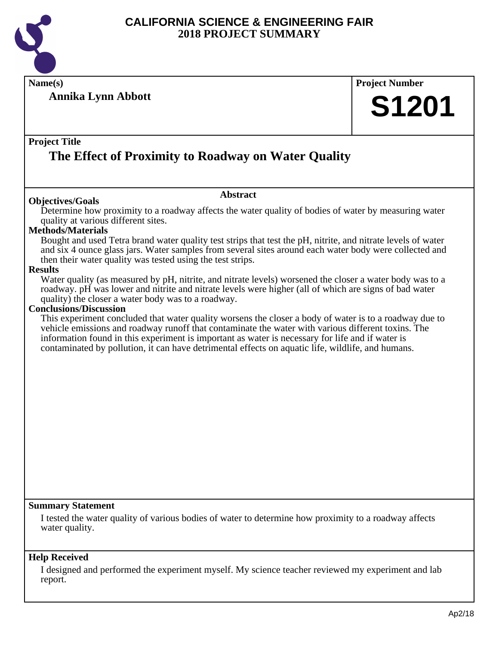

**Name(s) Project Number**

**Annika Lynn Abbott**

# **S1201**

#### **Project Title**

## **The Effect of Proximity to Roadway on Water Quality**

#### **Abstract**

**Objectives/Goals** Determine how proximity to a roadway affects the water quality of bodies of water by measuring water quality at various different sites.

#### **Methods/Materials**

Bought and used Tetra brand water quality test strips that test the pH, nitrite, and nitrate levels of water and six 4 ounce glass jars. Water samples from several sites around each water body were collected and then their water quality was tested using the test strips.

#### **Results**

Water quality (as measured by pH, nitrite, and nitrate levels) worsened the closer a water body was to a roadway. pH was lower and nitrite and nitrate levels were higher (all of which are signs of bad water quality) the closer a water body was to a roadway.

#### **Conclusions/Discussion**

This experiment concluded that water quality worsens the closer a body of water is to a roadway due to vehicle emissions and roadway runoff that contaminate the water with various different toxins. The information found in this experiment is important as water is necessary for life and if water is contaminated by pollution, it can have detrimental effects on aquatic life, wildlife, and humans.

#### **Summary Statement**

I tested the water quality of various bodies of water to determine how proximity to a roadway affects water quality.

#### **Help Received**

I designed and performed the experiment myself. My science teacher reviewed my experiment and lab report.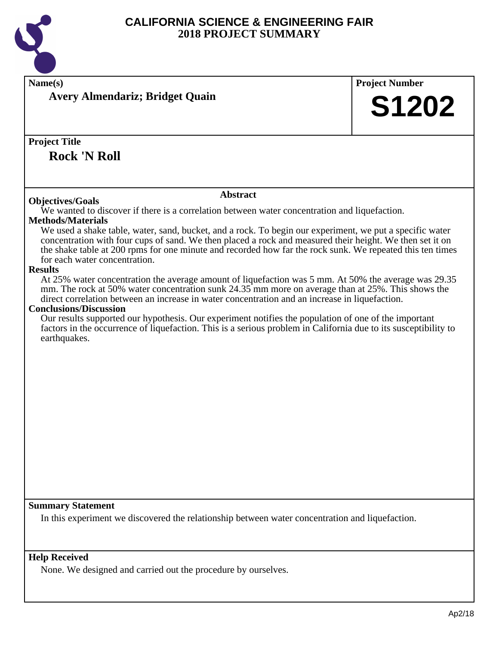

| Name(s)                                                                                                                         | <b>Project Number</b> |  |
|---------------------------------------------------------------------------------------------------------------------------------|-----------------------|--|
| <b>Avery Almendariz; Bridget Quain</b>                                                                                          |                       |  |
|                                                                                                                                 | <b>S1202</b>          |  |
|                                                                                                                                 |                       |  |
| <b>Project Title</b>                                                                                                            |                       |  |
| <b>Rock 'N Roll</b>                                                                                                             |                       |  |
|                                                                                                                                 |                       |  |
|                                                                                                                                 |                       |  |
| <b>Abstract</b>                                                                                                                 |                       |  |
| <b>Objectives/Goals</b>                                                                                                         |                       |  |
| We wanted to discover if there is a correlation between water concentration and liquefaction.<br><b>Methods/Materials</b>       |                       |  |
| We used a shake table, water, sand, bucket, and a rock. To begin our experiment, we put a specific water                        |                       |  |
| concentration with four cups of sand. We then placed a rock and measured their height. We then set it on                        |                       |  |
| the shake table at 200 rpms for one minute and recorded how far the rock sunk. We repeated this ten times                       |                       |  |
| for each water concentration.<br><b>Results</b>                                                                                 |                       |  |
| At 25% water concentration the average amount of liquefaction was 5 mm. At 50% the average was 29.35                            |                       |  |
| mm. The rock at 50% water concentration sunk 24.35 mm more on average than at 25%. This shows the                               |                       |  |
| direct correlation between an increase in water concentration and an increase in liquefaction.<br><b>Conclusions/Discussion</b> |                       |  |
| Our results supported our hypothesis. Our experiment notifies the population of one of the important                            |                       |  |
| factors in the occurrence of liquefaction. This is a serious problem in California due to its susceptibility to                 |                       |  |
| earthquakes.                                                                                                                    |                       |  |
|                                                                                                                                 |                       |  |
|                                                                                                                                 |                       |  |
|                                                                                                                                 |                       |  |
|                                                                                                                                 |                       |  |
|                                                                                                                                 |                       |  |
|                                                                                                                                 |                       |  |
|                                                                                                                                 |                       |  |
|                                                                                                                                 |                       |  |
|                                                                                                                                 |                       |  |
|                                                                                                                                 |                       |  |
|                                                                                                                                 |                       |  |
|                                                                                                                                 |                       |  |
| <b>Summary Statement</b>                                                                                                        |                       |  |
| In this experiment we discovered the relationship between water concentration and liquefaction.                                 |                       |  |
|                                                                                                                                 |                       |  |
|                                                                                                                                 |                       |  |
| <b>Help Received</b>                                                                                                            |                       |  |
| None. We designed and carried out the procedure by ourselves.                                                                   |                       |  |
|                                                                                                                                 |                       |  |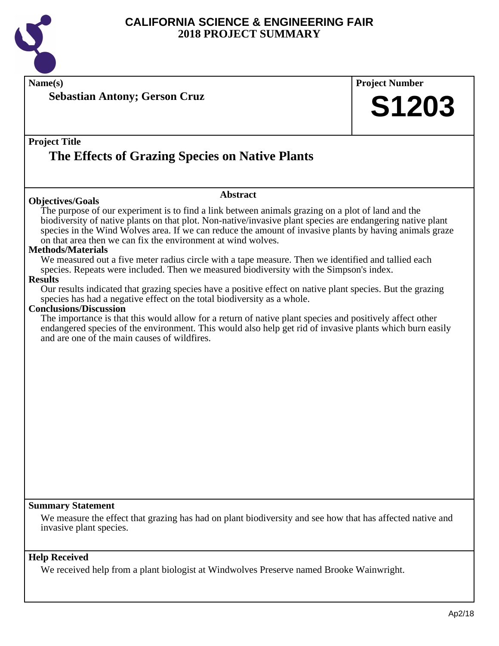

| Name(s)                                                                                                                                                                                                         | <b>Project Number</b> |  |
|-----------------------------------------------------------------------------------------------------------------------------------------------------------------------------------------------------------------|-----------------------|--|
| <b>Sebastian Antony; Gerson Cruz</b>                                                                                                                                                                            |                       |  |
|                                                                                                                                                                                                                 | <b>S1203</b>          |  |
|                                                                                                                                                                                                                 |                       |  |
| <b>Project Title</b>                                                                                                                                                                                            |                       |  |
| The Effects of Grazing Species on Native Plants                                                                                                                                                                 |                       |  |
|                                                                                                                                                                                                                 |                       |  |
|                                                                                                                                                                                                                 |                       |  |
| <b>Abstract</b>                                                                                                                                                                                                 |                       |  |
| <b>Objectives/Goals</b>                                                                                                                                                                                         |                       |  |
| The purpose of our experiment is to find a link between animals grazing on a plot of land and the<br>biodiversity of native plants on that plot. Non-native/invasive plant species are endangering native plant |                       |  |
| species in the Wind Wolves area. If we can reduce the amount of invasive plants by having animals graze                                                                                                         |                       |  |
| on that area then we can fix the environment at wind wolves.                                                                                                                                                    |                       |  |
| <b>Methods/Materials</b><br>We measured out a five meter radius circle with a tape measure. Then we identified and tallied each                                                                                 |                       |  |
| species. Repeats were included. Then we measured biodiversity with the Simpson's index.                                                                                                                         |                       |  |
| <b>Results</b>                                                                                                                                                                                                  |                       |  |
| Our results indicated that grazing species have a positive effect on native plant species. But the grazing<br>species has had a negative effect on the total biodiversity as a whole.                           |                       |  |
| <b>Conclusions/Discussion</b>                                                                                                                                                                                   |                       |  |
| The importance is that this would allow for a return of native plant species and positively affect other                                                                                                        |                       |  |
| endangered species of the environment. This would also help get rid of invasive plants which burn easily                                                                                                        |                       |  |
| and are one of the main causes of wildfires.                                                                                                                                                                    |                       |  |
|                                                                                                                                                                                                                 |                       |  |
|                                                                                                                                                                                                                 |                       |  |
|                                                                                                                                                                                                                 |                       |  |
|                                                                                                                                                                                                                 |                       |  |
|                                                                                                                                                                                                                 |                       |  |
|                                                                                                                                                                                                                 |                       |  |
|                                                                                                                                                                                                                 |                       |  |
|                                                                                                                                                                                                                 |                       |  |
|                                                                                                                                                                                                                 |                       |  |
|                                                                                                                                                                                                                 |                       |  |
|                                                                                                                                                                                                                 |                       |  |
|                                                                                                                                                                                                                 |                       |  |
| <b>Summary Statement</b>                                                                                                                                                                                        |                       |  |
| We measure the effect that grazing has had on plant biodiversity and see how that has affected native and                                                                                                       |                       |  |
| invasive plant species.                                                                                                                                                                                         |                       |  |
|                                                                                                                                                                                                                 |                       |  |
| <b>Help Received</b>                                                                                                                                                                                            |                       |  |
| We received help from a plant biologist at Windwolves Preserve named Brooke Wainwright.                                                                                                                         |                       |  |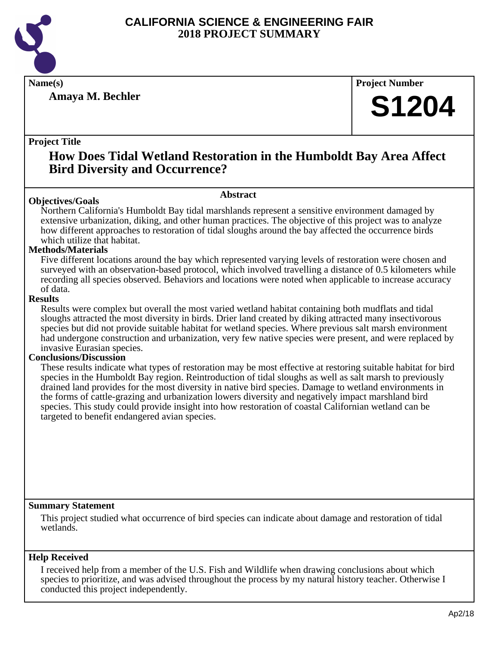

**Amaya M. Bechler**

**Name(s) Project Number**

## **S1204**

#### **Project Title**

### **How Does Tidal Wetland Restoration in the Humboldt Bay Area Affect Bird Diversity and Occurrence?**

#### **Objectives/Goals**

**Abstract**

Northern California's Humboldt Bay tidal marshlands represent a sensitive environment damaged by extensive urbanization, diking, and other human practices. The objective of this project was to analyze how different approaches to restoration of tidal sloughs around the bay affected the occurrence birds which utilize that habitat.

#### **Methods/Materials**

Five different locations around the bay which represented varying levels of restoration were chosen and surveyed with an observation-based protocol, which involved travelling a distance of 0.5 kilometers while recording all species observed. Behaviors and locations were noted when applicable to increase accuracy of data.

#### **Results**

Results were complex but overall the most varied wetland habitat containing both mudflats and tidal sloughs attracted the most diversity in birds. Drier land created by diking attracted many insectivorous species but did not provide suitable habitat for wetland species. Where previous salt marsh environment had undergone construction and urbanization, very few native species were present, and were replaced by invasive Eurasian species.

#### **Conclusions/Discussion**

These results indicate what types of restoration may be most effective at restoring suitable habitat for bird species in the Humboldt Bay region. Reintroduction of tidal sloughs as well as salt marsh to previously drained land provides for the most diversity in native bird species. Damage to wetland environments in the forms of cattle-grazing and urbanization lowers diversity and negatively impact marshland bird species. This study could provide insight into how restoration of coastal Californian wetland can be targeted to benefit endangered avian species.

#### **Summary Statement**

This project studied what occurrence of bird species can indicate about damage and restoration of tidal wetlands.

#### **Help Received**

I received help from a member of the U.S. Fish and Wildlife when drawing conclusions about which species to prioritize, and was advised throughout the process by my natural history teacher. Otherwise I conducted this project independently.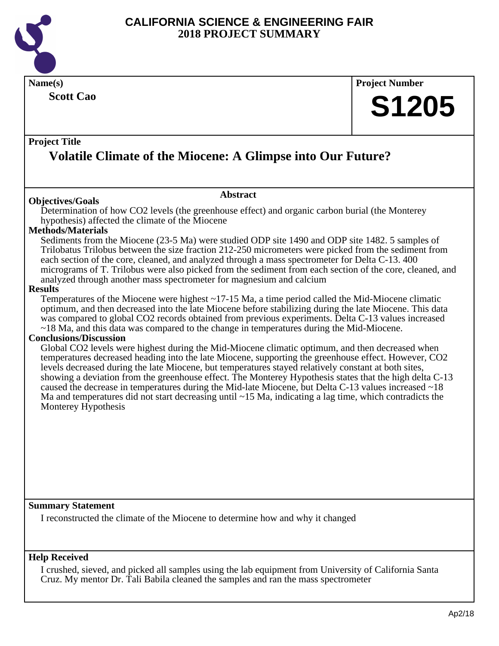

| Name(s)                                                                                                                                                                                                                     | <b>Project Number</b>                                                                                    |
|-----------------------------------------------------------------------------------------------------------------------------------------------------------------------------------------------------------------------------|----------------------------------------------------------------------------------------------------------|
| <b>Scott Cao</b>                                                                                                                                                                                                            |                                                                                                          |
|                                                                                                                                                                                                                             | <b>S1205</b>                                                                                             |
|                                                                                                                                                                                                                             |                                                                                                          |
| <b>Project Title</b>                                                                                                                                                                                                        |                                                                                                          |
| <b>Volatile Climate of the Miocene: A Glimpse into Our Future?</b>                                                                                                                                                          |                                                                                                          |
|                                                                                                                                                                                                                             |                                                                                                          |
|                                                                                                                                                                                                                             |                                                                                                          |
| <b>Abstract</b><br><b>Objectives/Goals</b>                                                                                                                                                                                  |                                                                                                          |
| Determination of how CO2 levels (the greenhouse effect) and organic carbon burial (the Monterey                                                                                                                             |                                                                                                          |
| hypothesis) affected the climate of the Miocene                                                                                                                                                                             |                                                                                                          |
| <b>Methods/Materials</b>                                                                                                                                                                                                    |                                                                                                          |
| Sediments from the Miocene (23-5 Ma) were studied ODP site 1490 and ODP site 1482. 5 samples of<br>Trilobatus Trilobus between the size fraction 212-250 micrometers were picked from the sediment from                     |                                                                                                          |
| each section of the core, cleaned, and analyzed through a mass spectrometer for Delta C-13. 400                                                                                                                             |                                                                                                          |
|                                                                                                                                                                                                                             | micrograms of T. Trilobus were also picked from the sediment from each section of the core, cleaned, and |
| analyzed through another mass spectrometer for magnesium and calcium                                                                                                                                                        |                                                                                                          |
| <b>Results</b>                                                                                                                                                                                                              |                                                                                                          |
| Temperatures of the Miocene were highest $\sim$ 17-15 Ma, a time period called the Mid-Miocene climatic                                                                                                                     |                                                                                                          |
| optimum, and then decreased into the late Miocene before stabilizing during the late Miocene. This data                                                                                                                     |                                                                                                          |
| was compared to global CO2 records obtained from previous experiments. Delta C-13 values increased<br>$\sim$ 18 Ma, and this data was compared to the change in temperatures during the Mid-Miocene.                        |                                                                                                          |
| <b>Conclusions/Discussion</b>                                                                                                                                                                                               |                                                                                                          |
| Global CO2 levels were highest during the Mid-Miocene climatic optimum, and then decreased when                                                                                                                             |                                                                                                          |
| temperatures decreased heading into the late Miocene, supporting the greenhouse effect. However, CO2                                                                                                                        |                                                                                                          |
| levels decreased during the late Miocene, but temperatures stayed relatively constant at both sites,                                                                                                                        |                                                                                                          |
|                                                                                                                                                                                                                             | showing a deviation from the greenhouse effect. The Monterey Hypothesis states that the high delta C-13  |
| caused the decrease in temperatures during the Mid-late Miocene, but Delta C-13 values increased $\sim$ 18<br>Ma and temperatures did not start decreasing until $\sim$ 15 Ma, indicating a lag time, which contradicts the |                                                                                                          |
| Monterey Hypothesis                                                                                                                                                                                                         |                                                                                                          |
|                                                                                                                                                                                                                             |                                                                                                          |
|                                                                                                                                                                                                                             |                                                                                                          |
|                                                                                                                                                                                                                             |                                                                                                          |
|                                                                                                                                                                                                                             |                                                                                                          |
|                                                                                                                                                                                                                             |                                                                                                          |
|                                                                                                                                                                                                                             |                                                                                                          |
|                                                                                                                                                                                                                             |                                                                                                          |
|                                                                                                                                                                                                                             |                                                                                                          |
| <b>Summary Statement</b>                                                                                                                                                                                                    |                                                                                                          |
| I reconstructed the climate of the Miocene to determine how and why it changed                                                                                                                                              |                                                                                                          |
|                                                                                                                                                                                                                             |                                                                                                          |
| <b>Help Received</b>                                                                                                                                                                                                        |                                                                                                          |
| I crushed, sieved, and picked all samples using the lab equipment from University of California Santa                                                                                                                       |                                                                                                          |
| Cruz. My mentor Dr. Tali Babila cleaned the samples and ran the mass spectrometer                                                                                                                                           |                                                                                                          |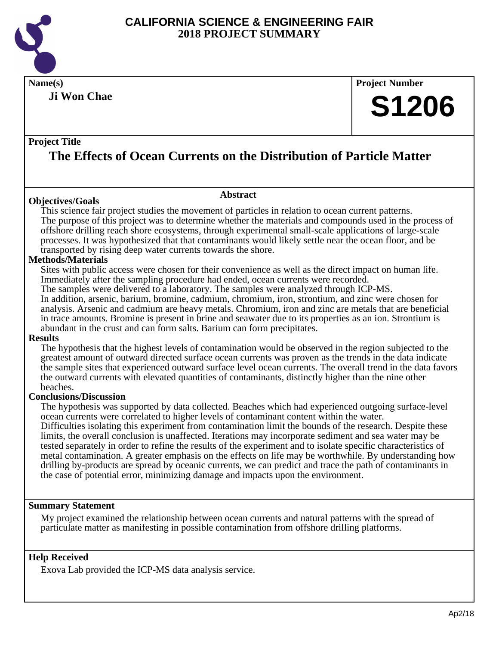

## **Ji Won Chae**

### **Name(s) Project Number**

## **S1206**

#### **Project Title**

## **The Effects of Ocean Currents on the Distribution of Particle Matter**

#### **Objectives/Goals**

## **Abstract**

This science fair project studies the movement of particles in relation to ocean current patterns. The purpose of this project was to determine whether the materials and compounds used in the process of offshore drilling reach shore ecosystems, through experimental small-scale applications of large-scale processes. It was hypothesized that that contaminants would likely settle near the ocean floor, and be transported by rising deep water currents towards the shore.

#### **Methods/Materials**

Sites with public access were chosen for their convenience as well as the direct impact on human life. Immediately after the sampling procedure had ended, ocean currents were recorded.

The samples were delivered to a laboratory. The samples were analyzed through ICP-MS.

In addition, arsenic, barium, bromine, cadmium, chromium, iron, strontium, and zinc were chosen for analysis. Arsenic and cadmium are heavy metals. Chromium, iron and zinc are metals that are beneficial in trace amounts. Bromine is present in brine and seawater due to its properties as an ion. Strontium is abundant in the crust and can form salts. Barium can form precipitates.

#### **Results**

The hypothesis that the highest levels of contamination would be observed in the region subjected to the greatest amount of outward directed surface ocean currents was proven as the trends in the data indicate the sample sites that experienced outward surface level ocean currents. The overall trend in the data favors the outward currents with elevated quantities of contaminants, distinctly higher than the nine other beaches.

#### **Conclusions/Discussion**

The hypothesis was supported by data collected. Beaches which had experienced outgoing surface-level ocean currents were correlated to higher levels of contaminant content within the water.

Difficulties isolating this experiment from contamination limit the bounds of the research. Despite these limits, the overall conclusion is unaffected. Iterations may incorporate sediment and sea water may be tested separately in order to refine the results of the experiment and to isolate specific characteristics of metal contamination. A greater emphasis on the effects on life may be worthwhile. By understanding how drilling by-products are spread by oceanic currents, we can predict and trace the path of contaminants in the case of potential error, minimizing damage and impacts upon the environment.

#### **Summary Statement**

My project examined the relationship between ocean currents and natural patterns with the spread of particulate matter as manifesting in possible contamination from offshore drilling platforms.

#### **Help Received**

Exova Lab provided the ICP-MS data analysis service.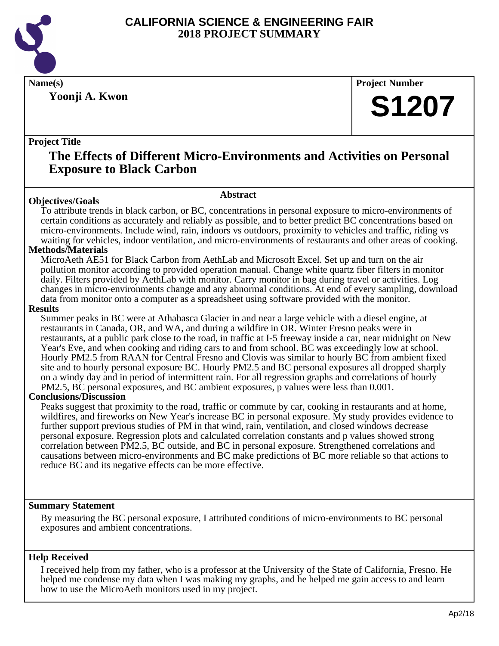

**Yoonji A. Kwon**

**Name(s) Project Number**

## **S1207**

#### **Project Title**

### **The Effects of Different Micro-Environments and Activities on Personal Exposure to Black Carbon**

#### **Objectives/Goals**

**Abstract**

To attribute trends in black carbon, or BC, concentrations in personal exposure to micro-environments of certain conditions as accurately and reliably as possible, and to better predict BC concentrations based on micro-environments. Include wind, rain, indoors vs outdoors, proximity to vehicles and traffic, riding vs waiting for vehicles, indoor ventilation, and micro-environments of restaurants and other areas of cooking.

#### **Methods/Materials**

MicroAeth AE51 for Black Carbon from AethLab and Microsoft Excel. Set up and turn on the air pollution monitor according to provided operation manual. Change white quartz fiber filters in monitor daily. Filters provided by AethLab with monitor. Carry monitor in bag during travel or activities. Log changes in micro-environments change and any abnormal conditions. At end of every sampling, download data from monitor onto a computer as a spreadsheet using software provided with the monitor.

#### **Results**

Summer peaks in BC were at Athabasca Glacier in and near a large vehicle with a diesel engine, at restaurants in Canada, OR, and WA, and during a wildfire in OR. Winter Fresno peaks were in restaurants, at a public park close to the road, in traffic at I-5 freeway inside a car, near midnight on New Year's Eve, and when cooking and riding cars to and from school. BC was exceedingly low at school. Hourly PM2.5 from RAAN for Central Fresno and Clovis was similar to hourly BC from ambient fixed site and to hourly personal exposure BC. Hourly PM2.5 and BC personal exposures all dropped sharply on a windy day and in period of intermittent rain. For all regression graphs and correlations of hourly PM2.5, BC personal exposures, and BC ambient exposures, p values were less than 0.001.

#### **Conclusions/Discussion**

Peaks suggest that proximity to the road, traffic or commute by car, cooking in restaurants and at home, wildfires, and fireworks on New Year's increase BC in personal exposure. My study provides evidence to further support previous studies of PM in that wind, rain, ventilation, and closed windows decrease personal exposure. Regression plots and calculated correlation constants and p values showed strong correlation between PM2.5, BC outside, and BC in personal exposure. Strengthened correlations and causations between micro-environments and BC make predictions of BC more reliable so that actions to reduce BC and its negative effects can be more effective.

#### **Summary Statement**

By measuring the BC personal exposure, I attributed conditions of micro-environments to BC personal exposures and ambient concentrations.

#### **Help Received**

I received help from my father, who is a professor at the University of the State of California, Fresno. He helped me condense my data when I was making my graphs, and he helped me gain access to and learn how to use the MicroAeth monitors used in my project.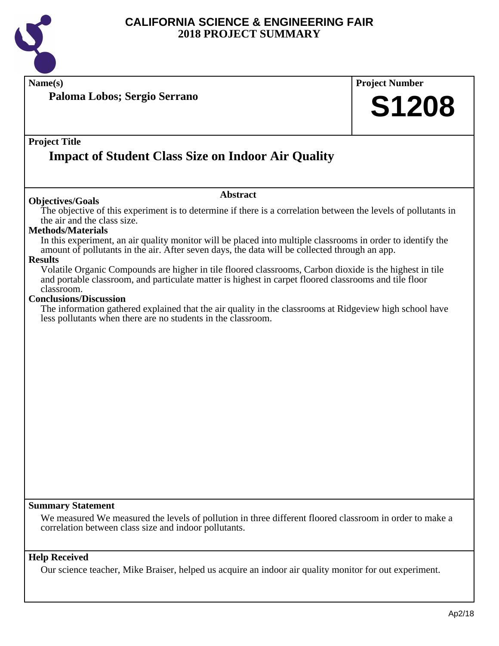

| Paloma Lobos; Sergio Serrano                                                                                                                                                                                                                     |              |
|--------------------------------------------------------------------------------------------------------------------------------------------------------------------------------------------------------------------------------------------------|--------------|
|                                                                                                                                                                                                                                                  | <b>S1208</b> |
|                                                                                                                                                                                                                                                  |              |
| <b>Project Title</b>                                                                                                                                                                                                                             |              |
| <b>Impact of Student Class Size on Indoor Air Quality</b>                                                                                                                                                                                        |              |
| <b>Abstract</b><br><b>Objectives/Goals</b>                                                                                                                                                                                                       |              |
| The objective of this experiment is to determine if there is a correlation between the levels of pollutants in<br>the air and the class size.                                                                                                    |              |
| <b>Methods/Materials</b><br>In this experiment, an air quality monitor will be placed into multiple classrooms in order to identify the<br>amount of pollutants in the air. After seven days, the data will be collected through an app.         |              |
| <b>Results</b><br>Volatile Organic Compounds are higher in tile floored classrooms, Carbon dioxide is the highest in tile<br>and portable classroom, and particulate matter is highest in carpet floored classrooms and tile floor<br>classroom. |              |
| <b>Conclusions/Discussion</b><br>The information gathered explained that the air quality in the classrooms at Ridgeview high school have<br>less pollutants when there are no students in the classroom.                                         |              |
|                                                                                                                                                                                                                                                  |              |
|                                                                                                                                                                                                                                                  |              |
|                                                                                                                                                                                                                                                  |              |
|                                                                                                                                                                                                                                                  |              |
|                                                                                                                                                                                                                                                  |              |
|                                                                                                                                                                                                                                                  |              |
|                                                                                                                                                                                                                                                  |              |
| <b>Summary Statement</b>                                                                                                                                                                                                                         |              |
| We measured We measured the levels of pollution in three different floored classroom in order to make a<br>correlation between class size and indoor pollutants.                                                                                 |              |
| <b>Help Received</b><br>Our science teacher, Mike Braiser, helped us acquire an indoor air quality monitor for out experiment.                                                                                                                   |              |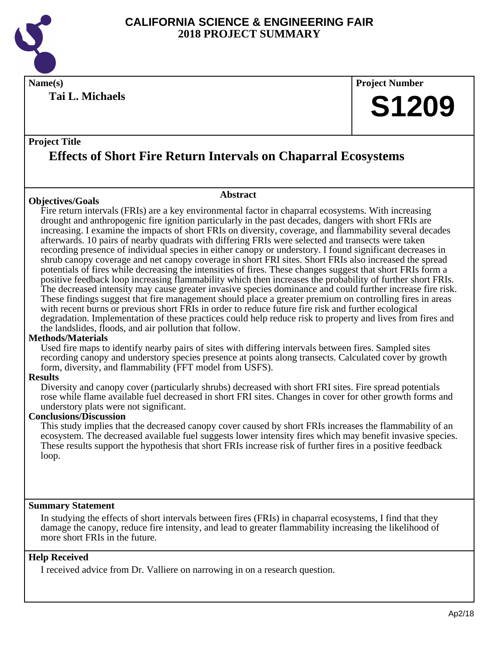

**Tai L. Michaels**

### **Name(s) Project Number**

## **S1209**

#### **Project Title**

## **Effects of Short Fire Return Intervals on Chaparral Ecosystems**

#### **Objectives/Goals**

#### **Abstract**

Fire return intervals (FRIs) are a key environmental factor in chaparral ecosystems. With increasing drought and anthropogenic fire ignition particularly in the past decades, dangers with short FRIs are increasing. I examine the impacts of short FRIs on diversity, coverage, and flammability several decades afterwards. 10 pairs of nearby quadrats with differing FRIs were selected and transects were taken recording presence of individual species in either canopy or understory. I found significant decreases in shrub canopy coverage and net canopy coverage in short FRI sites. Short FRIs also increased the spread potentials of fires while decreasing the intensities of fires. These changes suggest that short FRIs form a positive feedback loop increasing flammability which then increases the probability of further short FRIs. The decreased intensity may cause greater invasive species dominance and could further increase fire risk. These findings suggest that fire management should place a greater premium on controlling fires in areas with recent burns or previous short FRIs in order to reduce future fire risk and further ecological degradation. Implementation of these practices could help reduce risk to property and lives from fires and the landslides, floods, and air pollution that follow.

#### **Methods/Materials**

Used fire maps to identify nearby pairs of sites with differing intervals between fires. Sampled sites recording canopy and understory species presence at points along transects. Calculated cover by growth form, diversity, and flammability (FFT model from USFS).

#### **Results**

Diversity and canopy cover (particularly shrubs) decreased with short FRI sites. Fire spread potentials rose while flame available fuel decreased in short FRI sites. Changes in cover for other growth forms and understory plats were not significant.

#### **Conclusions/Discussion**

This study implies that the decreased canopy cover caused by short FRIs increases the flammability of an ecosystem. The decreased available fuel suggests lower intensity fires which may benefit invasive species. These results support the hypothesis that short FRIs increase risk of further fires in a positive feedback loop.

#### **Summary Statement**

In studying the effects of short intervals between fires (FRIs) in chaparral ecosystems, I find that they damage the canopy, reduce fire intensity, and lead to greater flammability increasing the likelihood of more short FRIs in the future.

#### **Help Received**

I received advice from Dr. Valliere on narrowing in on a research question.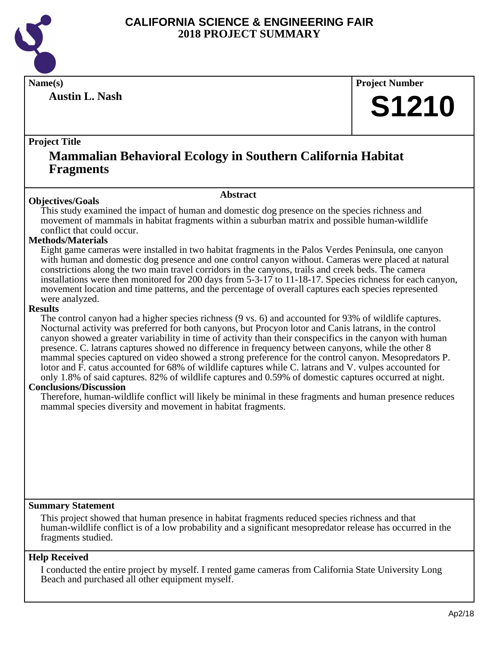

#### **Name(s) Project Number**

**Austin L. Nash**

# **S1210**

#### **Project Title**

## **Mammalian Behavioral Ecology in Southern California Habitat Fragments**

#### **Abstract**

**Objectives/Goals** This study examined the impact of human and domestic dog presence on the species richness and movement of mammals in habitat fragments within a suburban matrix and possible human-wildlife conflict that could occur.

#### **Methods/Materials**

Eight game cameras were installed in two habitat fragments in the Palos Verdes Peninsula, one canyon with human and domestic dog presence and one control canyon without. Cameras were placed at natural constrictions along the two main travel corridors in the canyons, trails and creek beds. The camera installations were then monitored for 200 days from 5-3-17 to 11-18-17. Species richness for each canyon, movement location and time patterns, and the percentage of overall captures each species represented were analyzed.

#### **Results**

The control canyon had a higher species richness (9 vs. 6) and accounted for 93% of wildlife captures. Nocturnal activity was preferred for both canyons, but Procyon lotor and Canis latrans, in the control canyon showed a greater variability in time of activity than their conspecifics in the canyon with human presence. C. latrans captures showed no difference in frequency between canyons, while the other 8 mammal species captured on video showed a strong preference for the control canyon. Mesopredators P. lotor and F. catus accounted for 68% of wildlife captures while C. latrans and V. vulpes accounted for only 1.8% of said captures. 82% of wildlife captures and 0.59% of domestic captures occurred at night.

#### **Conclusions/Discussion**

Therefore, human-wildlife conflict will likely be minimal in these fragments and human presence reduces mammal species diversity and movement in habitat fragments.

#### **Summary Statement**

This project showed that human presence in habitat fragments reduced species richness and that human-wildlife conflict is of a low probability and a significant mesopredator release has occurred in the fragments studied.

#### **Help Received**

I conducted the entire project by myself. I rented game cameras from California State University Long Beach and purchased all other equipment myself.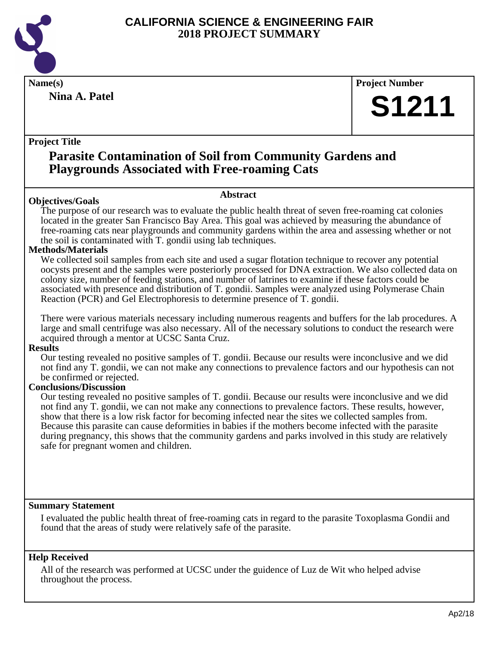

**Nina A. Patel**

### **Name(s) Project Number**

## **S1211**

#### **Project Title**

### **Parasite Contamination of Soil from Community Gardens and Playgrounds Associated with Free-roaming Cats**

#### **Objectives/Goals**

The purpose of our research was to evaluate the public health threat of seven free-roaming cat colonies located in the greater San Francisco Bay Area. This goal was achieved by measuring the abundance of free-roaming cats near playgrounds and community gardens within the area and assessing whether or not the soil is contaminated with T. gondii using lab techniques.

**Abstract**

#### **Methods/Materials**

We collected soil samples from each site and used a sugar flotation technique to recover any potential oocysts present and the samples were posteriorly processed for DNA extraction. We also collected data on colony size, number of feeding stations, and number of latrines to examine if these factors could be associated with presence and distribution of T. gondii. Samples were analyzed using Polymerase Chain Reaction (PCR) and Gel Electrophoresis to determine presence of T. gondii.

There were various materials necessary including numerous reagents and buffers for the lab procedures. A large and small centrifuge was also necessary. All of the necessary solutions to conduct the research were acquired through a mentor at UCSC Santa Cruz.

#### **Results**

Our testing revealed no positive samples of T. gondii. Because our results were inconclusive and we did not find any T. gondii, we can not make any connections to prevalence factors and our hypothesis can not be confirmed or rejected.

#### **Conclusions/Discussion**

Our testing revealed no positive samples of T. gondii. Because our results were inconclusive and we did not find any T. gondii, we can not make any connections to prevalence factors. These results, however, show that there is a low risk factor for becoming infected near the sites we collected samples from. Because this parasite can cause deformities in babies if the mothers become infected with the parasite during pregnancy, this shows that the community gardens and parks involved in this study are relatively safe for pregnant women and children.

#### **Summary Statement**

I evaluated the public health threat of free-roaming cats in regard to the parasite Toxoplasma Gondii and found that the areas of study were relatively safe of the parasite.

#### **Help Received**

All of the research was performed at UCSC under the guidence of Luz de Wit who helped advise throughout the process.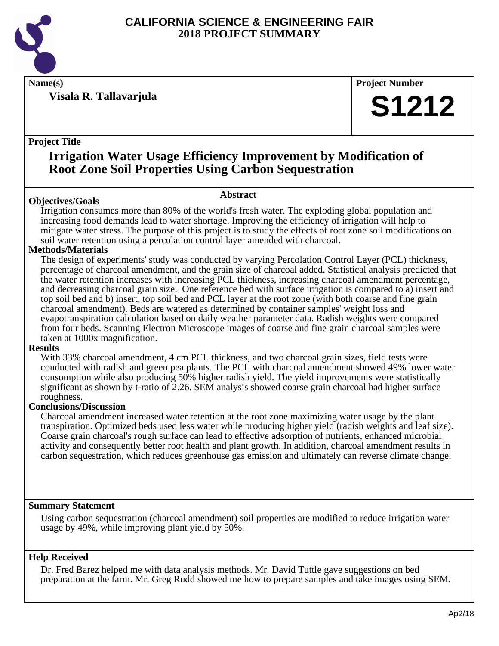

**Visala R. Tallavarjula**

**Name(s) Project Number**

## **S1212**

#### **Project Title**

## **Irrigation Water Usage Efficiency Improvement by Modification of Root Zone Soil Properties Using Carbon Sequestration**

#### **Abstract**

**Objectives/Goals** Irrigation consumes more than 80% of the world's fresh water. The exploding global population and increasing food demands lead to water shortage. Improving the efficiency of irrigation will help to mitigate water stress. The purpose of this project is to study the effects of root zone soil modifications on soil water retention using a percolation control layer amended with charcoal.

#### **Methods/Materials**

The design of experiments' study was conducted by varying Percolation Control Layer (PCL) thickness, percentage of charcoal amendment, and the grain size of charcoal added. Statistical analysis predicted that the water retention increases with increasing PCL thickness, increasing charcoal amendment percentage, and decreasing charcoal grain size. One reference bed with surface irrigation is compared to a) insert and top soil bed and b) insert, top soil bed and PCL layer at the root zone (with both coarse and fine grain charcoal amendment). Beds are watered as determined by container samples' weight loss and evapotranspiration calculation based on daily weather parameter data. Radish weights were compared from four beds. Scanning Electron Microscope images of coarse and fine grain charcoal samples were taken at 1000x magnification.

#### **Results**

With 33% charcoal amendment, 4 cm PCL thickness, and two charcoal grain sizes, field tests were conducted with radish and green pea plants. The PCL with charcoal amendment showed 49% lower water consumption while also producing 50% higher radish yield. The yield improvements were statistically significant as shown by t-ratio of 2.26. SEM analysis showed coarse grain charcoal had higher surface roughness.

#### **Conclusions/Discussion**

Charcoal amendment increased water retention at the root zone maximizing water usage by the plant transpiration. Optimized beds used less water while producing higher yield (radish weights and leaf size). Coarse grain charcoal's rough surface can lead to effective adsorption of nutrients, enhanced microbial activity and consequently better root health and plant growth. In addition, charcoal amendment results in carbon sequestration, which reduces greenhouse gas emission and ultimately can reverse climate change.

#### **Summary Statement**

Using carbon sequestration (charcoal amendment) soil properties are modified to reduce irrigation water usage by 49%, while improving plant yield by 50%.

#### **Help Received**

Dr. Fred Barez helped me with data analysis methods. Mr. David Tuttle gave suggestions on bed preparation at the farm. Mr. Greg Rudd showed me how to prepare samples and take images using SEM.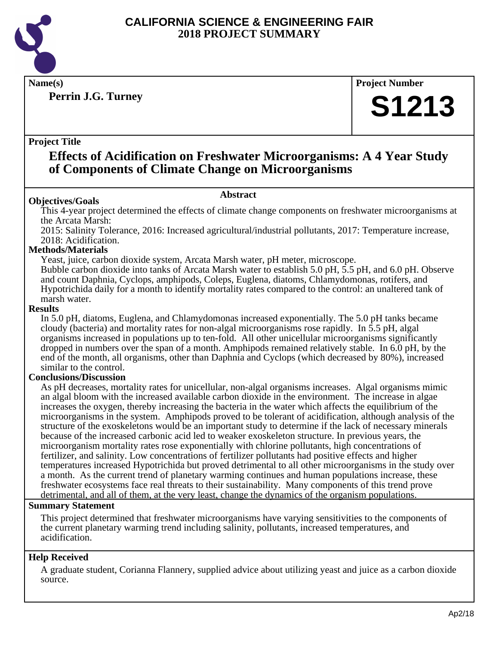

**Perrin J.G. Turney**

**Name(s) Project Number**

## **S1213**

#### **Project Title**

### **Effects of Acidification on Freshwater Microorganisms: A 4 Year Study of Components of Climate Change on Microorganisms**

#### **Abstract**

This 4-year project determined the effects of climate change components on freshwater microorganisms at the Arcata Marsh:

2015: Salinity Tolerance, 2016: Increased agricultural/industrial pollutants, 2017: Temperature increase, 2018: Acidification.

#### **Methods/Materials**

**Objectives/Goals**

Yeast, juice, carbon dioxide system, Arcata Marsh water, pH meter, microscope.

Bubble carbon dioxide into tanks of Arcata Marsh water to establish 5.0 pH, 5.5 pH, and 6.0 pH. Observe and count Daphnia, Cyclops, amphipods, Coleps, Euglena, diatoms, Chlamydomonas, rotifers, and Hypotrichida daily for a month to identify mortality rates compared to the control: an unaltered tank of marsh water.

#### **Results**

In 5.0 pH, diatoms, Euglena, and Chlamydomonas increased exponentially. The 5.0 pH tanks became cloudy (bacteria) and mortality rates for non-algal microorganisms rose rapidly. In 5.5 pH, algal organisms increased in populations up to ten-fold. All other unicellular microorganisms significantly dropped in numbers over the span of a month. Amphipods remained relatively stable. In 6.0 pH, by the end of the month, all organisms, other than Daphnia and Cyclops (which decreased by 80%), increased similar to the control.

#### **Conclusions/Discussion**

As pH decreases, mortality rates for unicellular, non-algal organisms increases. Algal organisms mimic an algal bloom with the increased available carbon dioxide in the environment. The increase in algae increases the oxygen, thereby increasing the bacteria in the water which affects the equilibrium of the microorganisms in the system. Amphipods proved to be tolerant of acidification, although analysis of the structure of the exoskeletons would be an important study to determine if the lack of necessary minerals because of the increased carbonic acid led to weaker exoskeleton structure. In previous years, the microorganism mortality rates rose exponentially with chlorine pollutants, high concentrations of fertilizer, and salinity. Low concentrations of fertilizer pollutants had positive effects and higher temperatures increased Hypotrichida but proved detrimental to all other microorganisms in the study over a month. As the current trend of planetary warming continues and human populations increase, these freshwater ecosystems face real threats to their sustainability. Many components of this trend prove detrimental, and all of them, at the very least, change the dynamics of the organism populations.

#### **Summary Statement**

This project determined that freshwater microorganisms have varying sensitivities to the components of the current planetary warming trend including salinity, pollutants, increased temperatures, and acidification.

#### **Help Received**

A graduate student, Corianna Flannery, supplied advice about utilizing yeast and juice as a carbon dioxide source.